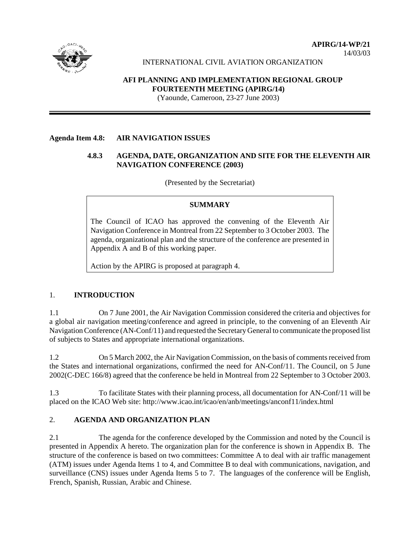

14/03/03

INTERNATIONAL CIVIL AVIATION ORGANIZATION

# **AFI PLANNING AND IMPLEMENTATION REGIONAL GROUP FOURTEENTH MEETING (APIRG/14)**

(Yaounde, Cameroon, 23-27 June 2003)

### **Agenda Item 4.8: AIR NAVIGATION ISSUES**

# **4.8.3 AGENDA, DATE, ORGANIZATION AND SITE FOR THE ELEVENTH AIR NAVIGATION CONFERENCE (2003)**

(Presented by the Secretariat)

## **SUMMARY**

The Council of ICAO has approved the convening of the Eleventh Air Navigation Conference in Montreal from 22 September to 3 October 2003. The agenda, organizational plan and the structure of the conference are presented in Appendix A and B of this working paper.

Action by the APIRG is proposed at paragraph 4.

# 1. **INTRODUCTION**

1.1 On 7 June 2001, the Air Navigation Commission considered the criteria and objectives for a global air navigation meeting/conference and agreed in principle, to the convening of an Eleventh Air Navigation Conference (AN-Conf/11) and requested the Secretary General to communicate the proposed list of subjects to States and appropriate international organizations.

1.2 On 5 March 2002, the Air Navigation Commission, on the basis of comments received from the States and international organizations, confirmed the need for AN-Conf/11. The Council, on 5 June 2002(C-DEC 166/8) agreed that the conference be held in Montreal from 22 September to 3 October 2003.

1.3 To facilitate States with their planning process, all documentation for AN-Conf/11 will be placed on the ICAO Web site: http://www.icao.int/icao/en/anb/meetings/anconf11/index.html

### 2. **AGENDA AND ORGANIZATION PLAN**

2.1 The agenda for the conference developed by the Commission and noted by the Council is presented in Appendix A hereto. The organization plan for the conference is shown in Appendix B. The structure of the conference is based on two committees: Committee A to deal with air traffic management (ATM) issues under Agenda Items 1 to 4, and Committee B to deal with communications, navigation, and surveillance (CNS) issues under Agenda Items 5 to 7. The languages of the conference will be English, French, Spanish, Russian, Arabic and Chinese.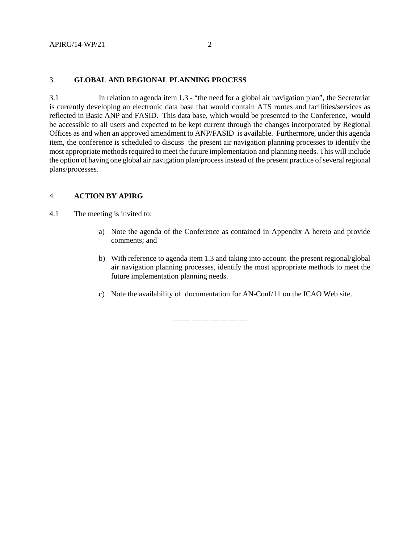### 3. **GLOBAL AND REGIONAL PLANNING PROCESS**

3.1 In relation to agenda item 1.3 - "the need for a global air navigation plan", the Secretariat is currently developing an electronic data base that would contain ATS routes and facilities/services as reflected in Basic ANP and FASID. This data base, which would be presented to the Conference, would be accessible to all users and expected to be kept current through the changes incorporated by Regional Offices as and when an approved amendment to ANP/FASID is available. Furthermore, under this agenda item, the conference is scheduled to discuss the present air navigation planning processes to identify the most appropriate methods required to meet the future implementation and planning needs. This will include the option of having one global air navigation plan/process instead of the present practice of several regional plans/processes.

#### 4. **ACTION BY APIRG**

4.1 The meeting is invited to:

- a) Note the agenda of the Conference as contained in Appendix A hereto and provide comments; and
- b) With reference to agenda item 1.3 and taking into account the present regional/global air navigation planning processes, identify the most appropriate methods to meet the future implementation planning needs.
- c) Note the availability of documentation for AN-Conf/11 on the ICAO Web site.

— — — — — — — —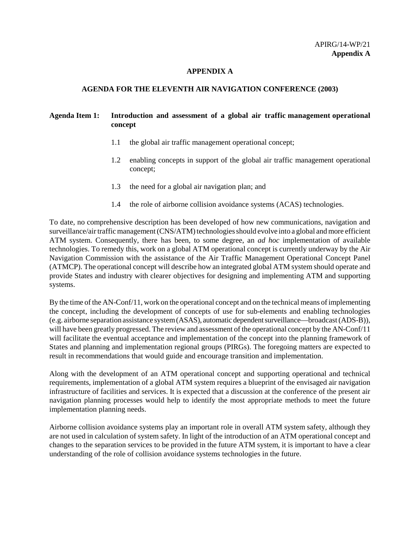#### **APPENDIX A**

#### **AGENDA FOR THE ELEVENTH AIR NAVIGATION CONFERENCE (2003)**

# **Agenda Item 1: Introduction and assessment of a global air traffic management operational concept**

- 1.1 the global air traffic management operational concept;
- 1.2 enabling concepts in support of the global air traffic management operational concept;
- 1.3 the need for a global air navigation plan; and
- 1.4 the role of airborne collision avoidance systems (ACAS) technologies.

To date, no comprehensive description has been developed of how new communications, navigation and surveillance/air traffic management (CNS/ATM) technologies should evolve into a global and more efficient ATM system. Consequently, there has been, to some degree, an *ad hoc* implementation of available technologies. To remedy this, work on a global ATM operational concept is currently underway by the Air Navigation Commission with the assistance of the Air Traffic Management Operational Concept Panel (ATMCP). The operational concept will describe how an integrated global ATM system should operate and provide States and industry with clearer objectives for designing and implementing ATM and supporting systems.

By the time of the AN-Conf/11, work on the operational concept and on the technical means of implementing the concept, including the development of concepts of use for sub-elements and enabling technologies (e.g. airborne separation assistance system (ASAS), automatic dependent surveillance—broadcast (ADS-B)), will have been greatly progressed. The review and assessment of the operational concept by the AN-Conf/11 will facilitate the eventual acceptance and implementation of the concept into the planning framework of States and planning and implementation regional groups (PIRGs). The foregoing matters are expected to result in recommendations that would guide and encourage transition and implementation.

Along with the development of an ATM operational concept and supporting operational and technical requirements, implementation of a global ATM system requires a blueprint of the envisaged air navigation infrastructure of facilities and services. It is expected that a discussion at the conference of the present air navigation planning processes would help to identify the most appropriate methods to meet the future implementation planning needs.

Airborne collision avoidance systems play an important role in overall ATM system safety, although they are not used in calculation of system safety. In light of the introduction of an ATM operational concept and changes to the separation services to be provided in the future ATM system, it is important to have a clear understanding of the role of collision avoidance systems technologies in the future.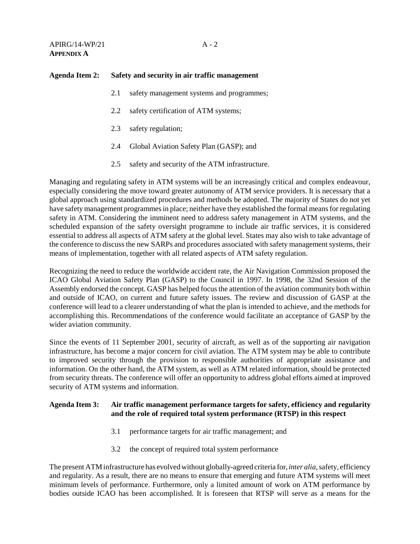### **Agenda Item 2: Safety and security in air traffic management**

- 2.1 safety management systems and programmes;
- 2.2 safety certification of ATM systems;
- 2.3 safety regulation;
- 2.4 Global Aviation Safety Plan (GASP); and
- 2.5 safety and security of the ATM infrastructure.

Managing and regulating safety in ATM systems will be an increasingly critical and complex endeavour, especially considering the move toward greater autonomy of ATM service providers. It is necessary that a global approach using standardized procedures and methods be adopted. The majority of States do not yet have safety management programmes in place; neither have they established the formal means for regulating safety in ATM. Considering the imminent need to address safety management in ATM systems, and the scheduled expansion of the safety oversight programme to include air traffic services, it is considered essential to address all aspects of ATM safety at the global level. States may also wish to take advantage of the conference to discuss the new SARPs and procedures associated with safety management systems, their means of implementation, together with all related aspects of ATM safety regulation.

Recognizing the need to reduce the worldwide accident rate, the Air Navigation Commission proposed the ICAO Global Aviation Safety Plan (GASP) to the Council in 1997. In 1998, the 32nd Session of the Assembly endorsed the concept. GASP has helped focus the attention of the aviation community both within and outside of ICAO, on current and future safety issues. The review and discussion of GASP at the conference will lead to a clearer understanding of what the plan is intended to achieve, and the methods for accomplishing this. Recommendations of the conference would facilitate an acceptance of GASP by the wider aviation community.

Since the events of 11 September 2001, security of aircraft, as well as of the supporting air navigation infrastructure, has become a major concern for civil aviation. The ATM system may be able to contribute to improved security through the provision to responsible authorities of appropriate assistance and information. On the other hand, the ATM system, as well as ATM related information, should be protected from security threats. The conference will offer an opportunity to address global efforts aimed at improved security of ATM systems and information.

### **Agenda Item 3: Air traffic management performance targets for safety, efficiency and regularity and the role of required total system performance (RTSP) in this respect**

- 3.1 performance targets for air traffic management; and
- 3.2 the concept of required total system performance

The present ATM infrastructure has evolved without globally-agreed criteria for, *inter alia,* safety, efficiency and regularity. As a result, there are no means to ensure that emerging and future ATM systems will meet minimum levels of performance. Furthermore, only a limited amount of work on ATM performance by bodies outside ICAO has been accomplished. It is foreseen that RTSP will serve as a means for the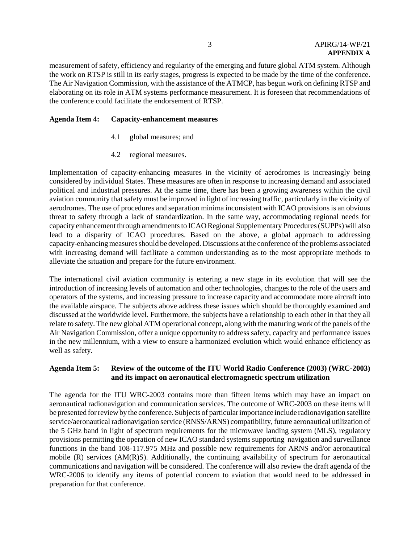measurement of safety, efficiency and regularity of the emerging and future global ATM system. Although the work on RTSP is still in its early stages, progress is expected to be made by the time of the conference. The Air Navigation Commission, with the assistance of the ATMCP, has begun work on defining RTSP and elaborating on its role in ATM systems performance measurement. It is foreseen that recommendations of the conference could facilitate the endorsement of RTSP.

### **Agenda Item 4: Capacity-enhancement measures**

- 4.1 global measures; and
- 4.2 regional measures.

Implementation of capacity-enhancing measures in the vicinity of aerodromes is increasingly being considered by individual States. These measures are often in response to increasing demand and associated political and industrial pressures. At the same time, there has been a growing awareness within the civil aviation community that safety must be improved in light of increasing traffic, particularly in the vicinity of aerodromes. The use of procedures and separation minima inconsistent with ICAO provisions is an obvious threat to safety through a lack of standardization. In the same way, accommodating regional needs for capacity enhancement through amendments to ICAO Regional Supplementary Procedures (SUPPs) will also lead to a disparity of ICAO procedures. Based on the above, a global approach to addressing capacity-enhancing measures should be developed. Discussions at the conference of the problems associated with increasing demand will facilitate a common understanding as to the most appropriate methods to alleviate the situation and prepare for the future environment.

The international civil aviation community is entering a new stage in its evolution that will see the introduction of increasing levels of automation and other technologies, changes to the role of the users and operators of the systems, and increasing pressure to increase capacity and accommodate more aircraft into the available airspace. The subjects above address these issues which should be thoroughly examined and discussed at the worldwide level. Furthermore, the subjects have a relationship to each other in that they all relate to safety. The new global ATM operational concept, along with the maturing work of the panels of the Air Navigation Commission, offer a unique opportunity to address safety, capacity and performance issues in the new millennium, with a view to ensure a harmonized evolution which would enhance efficiency as well as safety.

### **Agenda Item 5: Review of the outcome of the ITU World Radio Conference (2003) (WRC-2003) and its impact on aeronautical electromagnetic spectrum utilization**

The agenda for the ITU WRC-2003 contains more than fifteen items which may have an impact on aeronautical radionavigation and communication services. The outcome of WRC-2003 on these items will be presented for review by the conference. Subjects of particular importance include radionavigation satellite service/aeronautical radionavigation service (RNSS/ARNS) compatibility, future aeronautical utilization of the 5 GHz band in light of spectrum requirements for the microwave landing system (MLS), regulatory provisions permitting the operation of new ICAO standard systems supporting navigation and surveillance functions in the band 108-117.975 MHz and possible new requirements for ARNS and/or aeronautical mobile (R) services (AM(R)S). Additionally, the continuing availability of spectrum for aeronautical communications and navigation will be considered. The conference will also review the draft agenda of the WRC-2006 to identify any items of potential concern to aviation that would need to be addressed in preparation for that conference.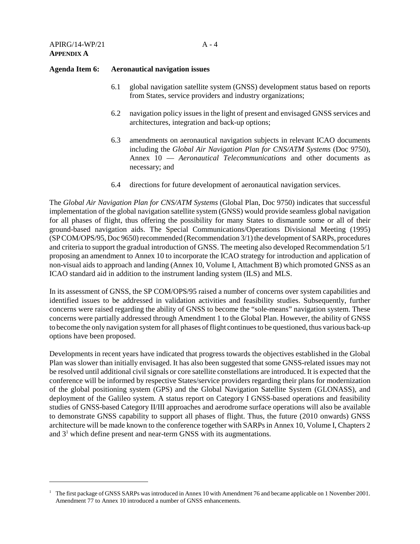#### **Agenda Item 6: Aeronautical navigation issues**

- 6.1 global navigation satellite system (GNSS) development status based on reports from States, service providers and industry organizations;
- 6.2 navigation policy issues in the light of present and envisaged GNSS services and architectures, integration and back-up options;
- 6.3 amendments on aeronautical navigation subjects in relevant ICAO documents including the *Global Air Navigation Plan for CNS/ATM Systems* (Doc 9750), Annex 10 — *Aeronautical Telecommunications* and other documents as necessary; and
- 6.4 directions for future development of aeronautical navigation services.

The *Global Air Navigation Plan for CNS/ATM Systems* (Global Plan, Doc 9750) indicates that successful implementation of the global navigation satellite system (GNSS) would provide seamless global navigation for all phases of flight, thus offering the possibility for many States to dismantle some or all of their ground-based navigation aids. The Special Communications/Operations Divisional Meeting (1995) (SP COM/OPS/95, Doc 9650) recommended (Recommendation 3/1) the development of SARPs, procedures and criteria to support the gradual introduction of GNSS. The meeting also developed Recommendation 5/1 proposing an amendment to Annex 10 to incorporate the ICAO strategy for introduction and application of non-visual aids to approach and landing (Annex 10, Volume I, Attachment B) which promoted GNSS as an ICAO standard aid in addition to the instrument landing system (ILS) and MLS.

In its assessment of GNSS, the SP COM/OPS/95 raised a number of concerns over system capabilities and identified issues to be addressed in validation activities and feasibility studies. Subsequently, further concerns were raised regarding the ability of GNSS to become the "sole-means" navigation system. These concerns were partially addressed through Amendment 1 to the Global Plan. However, the ability of GNSS to become the only navigation system for all phases of flight continues to be questioned, thus various back-up options have been proposed.

Developments in recent years have indicated that progress towards the objectives established in the Global Plan was slower than initially envisaged. It has also been suggested that some GNSS-related issues may not be resolved until additional civil signals or core satellite constellations are introduced. It is expected that the conference will be informed by respective States/service providers regarding their plans for modernization of the global positioning system (GPS) and the Global Navigation Satellite System (GLONASS), and deployment of the Galileo system. A status report on Category I GNSS-based operations and feasibility studies of GNSS-based Category II/III approaches and aerodrome surface operations will also be available to demonstrate GNSS capability to support all phases of flight. Thus, the future (2010 onwards) GNSS architecture will be made known to the conference together with SARPs in Annex 10, Volume I, Chapters 2 and  $3<sup>1</sup>$  which define present and near-term GNSS with its augmentations.

 $1$  The first package of GNSS SARPs was introduced in Annex 10 with Amendment 76 and became applicable on 1 November 2001. Amendment 77 to Annex 10 introduced a number of GNSS enhancements.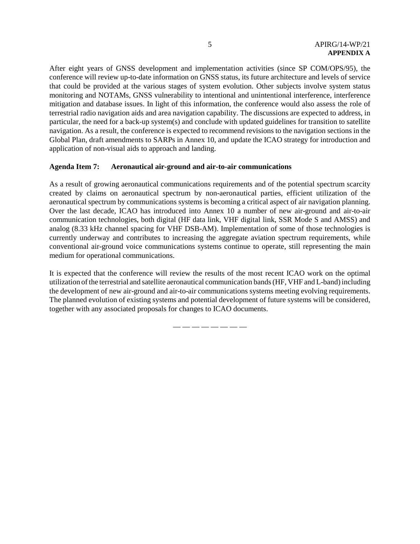After eight years of GNSS development and implementation activities (since SP COM/OPS/95), the conference will review up-to-date information on GNSS status, its future architecture and levels of service that could be provided at the various stages of system evolution. Other subjects involve system status monitoring and NOTAMs, GNSS vulnerability to intentional and unintentional interference, interference mitigation and database issues. In light of this information, the conference would also assess the role of terrestrial radio navigation aids and area navigation capability. The discussions are expected to address, in particular, the need for a back-up system(s) and conclude with updated guidelines for transition to satellite navigation. As a result, the conference is expected to recommend revisions to the navigation sections in the Global Plan, draft amendments to SARPs in Annex 10, and update the ICAO strategy for introduction and application of non-visual aids to approach and landing.

### **Agenda Item 7: Aeronautical air-ground and air-to-air communications**

As a result of growing aeronautical communications requirements and of the potential spectrum scarcity created by claims on aeronautical spectrum by non-aeronautical parties, efficient utilization of the aeronautical spectrum by communications systems is becoming a critical aspect of air navigation planning. Over the last decade, ICAO has introduced into Annex 10 a number of new air-ground and air-to-air communication technologies, both digital (HF data link, VHF digital link, SSR Mode S and AMSS) and analog (8.33 kHz channel spacing for VHF DSB-AM). Implementation of some of those technologies is currently underway and contributes to increasing the aggregate aviation spectrum requirements, while conventional air-ground voice communications systems continue to operate, still representing the main medium for operational communications.

It is expected that the conference will review the results of the most recent ICAO work on the optimal utilization of the terrestrial and satellite aeronautical communication bands (HF, VHF and L-band) including the development of new air-ground and air-to-air communications systems meeting evolving requirements. The planned evolution of existing systems and potential development of future systems will be considered, together with any associated proposals for changes to ICAO documents.

— — — — — — — —